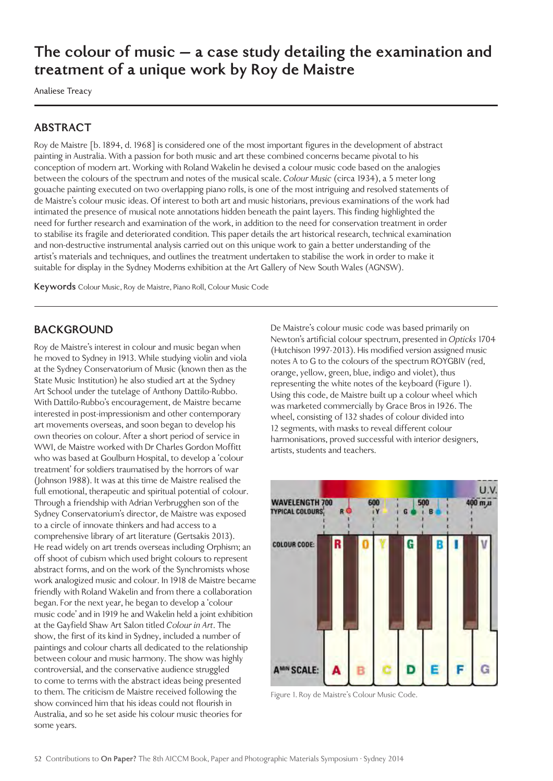# **The colour of music – a case study detailing the examination and treatment of a unique work by Roy de Maistre**

Analiese Treacy

# **ABSTRACT**

Roy de Maistre [b. 1894, d. 1968] is considered one of the most important figures in the development of abstract painting in Australia. With a passion for both music and art these combined concerns became pivotal to his conception of modern art. Working with Roland Wakelin he devised a colour music code based on the analogies between the colours of the spectrum and notes of the musical scale. *Colour Music* (circa 1934), a 5 meter long gouache painting executed on two overlapping piano rolls, is one of the most intriguing and resolved statements of de Maistre's colour music ideas. Of interest to both art and music historians, previous examinations of the work had intimated the presence of musical note annotations hidden beneath the paint layers. This finding highlighted the need for further research and examination of the work, in addition to the need for conservation treatment in order to stabilise its fragile and deteriorated condition. This paper details the art historical research, technical examination and non-destructive instrumental analysis carried out on this unique work to gain a better understanding of the artist's materials and techniques, and outlines the treatment undertaken to stabilise the work in order to make it suitable for display in the Sydney Moderns exhibition at the Art Gallery of New South Wales (AGNSW).

**Keywords** Colour Music, Roy de Maistre, Piano Roll, Colour Music Code

## **BACKGROUND**

Roy de Maistre's interest in colour and music began when he moved to Sydney in 1913. While studying violin and viola at the Sydney Conservatorium of Music (known then as the State Music Institution) he also studied art at the Sydney Art School under the tutelage of Anthony Dattilo-Rubbo. With Dattilo-Rubbo's encouragement, de Maistre became interested in post-impressionism and other contemporary art movements overseas, and soon began to develop his own theories on colour. After a short period of service in WWI, de Maistre worked with Dr Charles Gordon Moffitt who was based at Goulburn Hospital, to develop a 'colour treatment' for soldiers traumatised by the horrors of war (Johnson 1988). It was at this time de Maistre realised the full emotional, therapeutic and spiritual potential of colour. Through a friendship with Adrian Verbrugghen son of the Sydney Conservatorium's director, de Maistre was exposed to a circle of innovate thinkers and had access to a comprehensive library of art literature (Gertsakis 2013). He read widely on art trends overseas including Orphism; an off shoot of cubism which used bright colours to represent abstract forms, and on the work of the Synchromists whose work analogized music and colour. In 1918 de Maistre became friendly with Roland Wakelin and from there a collaboration began. For the next year, he began to develop a 'colour music code' and in 1919 he and Wakelin held a joint exhibition at the Gayfield Shaw Art Salon titled *Colour in Art*. The show, the first of its kind in Sydney, included a number of paintings and colour charts all dedicated to the relationship between colour and music harmony. The show was highly controversial, and the conservative audience struggled to come to terms with the abstract ideas being presented to them. The criticism de Maistre received following the show convinced him that his ideas could not flourish in Australia, and so he set aside his colour music theories for some years.

De Maistre's colour music code was based primarily on Newton's artificial colour spectrum, presented in *Opticks* 1704 (Hutchison 1997-2013). His modified version assigned music notes A to G to the colours of the spectrum ROYGBIV (red, orange, yellow, green, blue, indigo and violet), thus representing the white notes of the keyboard (Figure 1). Using this code, de Maistre built up a colour wheel which was marketed commercially by Grace Bros in 1926. The wheel, consisting of 132 shades of colour divided into 12 segments, with masks to reveal different colour harmonisations, proved successful with interior designers, artists, students and teachers.



Figure 1. Roy de Maistre's Colour Music Code.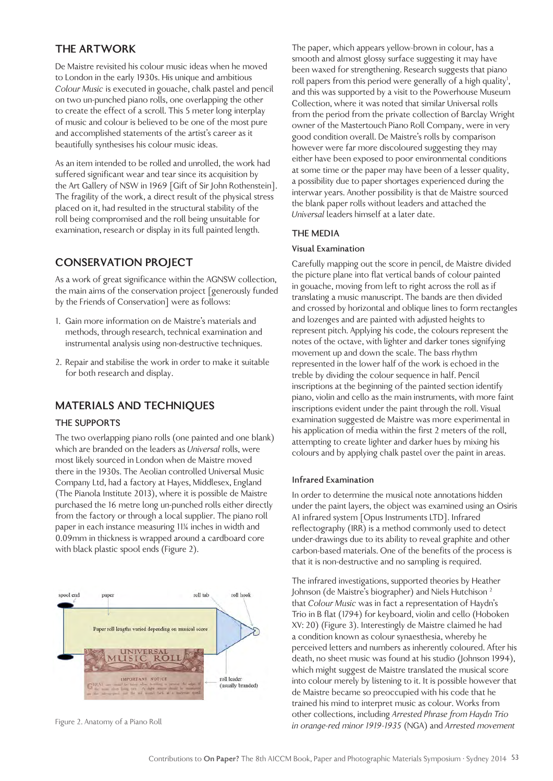# **THE ARTWORK**

De Maistre revisited his colour music ideas when he moved to London in the early 1930s. His unique and ambitious *Colour Music* is executed in gouache, chalk pastel and pencil on two un-punched piano rolls, one overlapping the other to create the effect of a scroll. This 5 meter long interplay of music and colour is believed to be one of the most pure and accomplished statements of the artist's career as it beautifully synthesises his colour music ideas.

As an item intended to be rolled and unrolled, the work had suffered significant wear and tear since its acquisition by the Art Gallery of NSW in 1969 [Gift of Sir John Rothenstein]. The fragility of the work, a direct result of the physical stress placed on it, had resulted in the structural stability of the roll being compromised and the roll being unsuitable for examination, research or display in its full painted length.

# **CONSERVATION PROJECT**

As a work of great significance within the AGNSW collection, the main aims of the conservation project [generously funded by the Friends of Conservation] were as follows:

- 1. Gain more information on de Maistre's materials and methods, through research, technical examination and instrumental analysis using non-destructive techniques.
- 2. Repair and stabilise the work in order to make it suitable for both research and display.

# **MATERIALS AND TECHNIQUES**

### **THE SUPPORTS**

The two overlapping piano rolls (one painted and one blank) which are branded on the leaders as *Universal* rolls, were most likely sourced in London when de Maistre moved there in the 1930s. The Aeolian controlled Universal Music Company Ltd, had a factory at Hayes, Middlesex, England (The Pianola Institute 2013), where it is possible de Maistre purchased the 16 metre long un-punched rolls either directly from the factory or through a local supplier. The piano roll paper in each instance measuring 11¼ inches in width and 0.09mm in thickness is wrapped around a cardboard core with black plastic spool ends (Figure 2).



The paper, which appears yellow-brown in colour, has a smooth and almost glossy surface suggesting it may have been waxed for strengthening. Research suggests that piano roll papers from this period were generally of a high quality<sup>1</sup>, and this was supported by a visit to the Powerhouse Museum Collection, where it was noted that similar Universal rolls from the period from the private collection of Barclay Wright owner of the Mastertouch Piano Roll Company, were in very good condition overall. De Maistre's rolls by comparison however were far more discoloured suggesting they may either have been exposed to poor environmental conditions at some time or the paper may have been of a lesser quality, a possibility due to paper shortages experienced during the interwar years. Another possibility is that de Maistre sourced the blank paper rolls without leaders and attached the *Universal* leaders himself at a later date.

#### **THE MEDIA**

#### **Visual Examination**

Carefully mapping out the score in pencil, de Maistre divided the picture plane into flat vertical bands of colour painted in gouache, moving from left to right across the roll as if translating a music manuscript. The bands are then divided and crossed by horizontal and oblique lines to form rectangles and lozenges and are painted with adjusted heights to represent pitch. Applying his code, the colours represent the notes of the octave, with lighter and darker tones signifying movement up and down the scale. The bass rhythm represented in the lower half of the work is echoed in the treble by dividing the colour sequence in half. Pencil inscriptions at the beginning of the painted section identify piano, violin and cello as the main instruments, with more faint inscriptions evident under the paint through the roll. Visual examination suggested de Maistre was more experimental in his application of media within the first 2 meters of the roll, attempting to create lighter and darker hues by mixing his colours and by applying chalk pastel over the paint in areas.

### **Infrared Examination**

In order to determine the musical note annotations hidden under the paint layers, the object was examined using an Osiris A1 infrared system [Opus Instruments LTD]. Infrared reflectography (IRR) is a method commonly used to detect under-drawings due to its ability to reveal graphite and other carbon-based materials. One of the benefits of the process is that it is non-destructive and no sampling is required.

The infrared investigations, supported theories by Heather Johnson (de Maistre's biographer) and Niels Hutchison<sup>2</sup> that *Colour Music* was in fact a representation of Haydn's Trio in B flat (1794) for keyboard, violin and cello (Hoboken XV: 20) (Figure 3). Interestingly de Maistre claimed he had a condition known as colour synaesthesia, whereby he perceived letters and numbers as inherently coloured. After his death, no sheet music was found at his studio (Johnson 1994), which might suggest de Maistre translated the musical score into colour merely by listening to it. It is possible however that de Maistre became so preoccupied with his code that he trained his mind to interpret music as colour. Works from other collections, including *Arrested Phrase from Haydn Trio in orange-red minor 1919-1935* (NGA) and *Arrested movement* Figure 2. Anatomy of a Piano Roll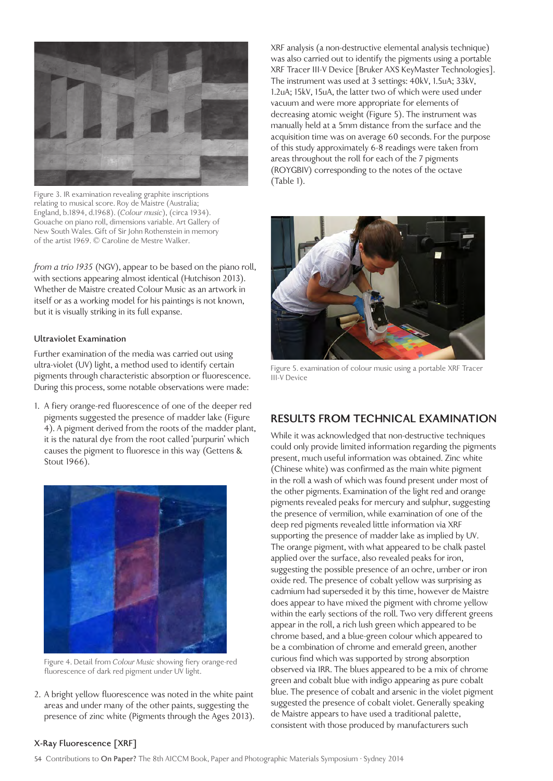

Figure 3. IR examination revealing graphite inscriptions relating to musical score. Roy de Maistre (Australia; England, b.1894, d.1968). (*Colour music*), (circa 1934). Gouache on piano roll, dimensions variable. Art Gallery of New South Wales. Gift of Sir John Rothenstein in memory of the artist 1969. © Caroline de Mestre Walker.

*from a trio 1935* (NGV), appear to be based on the piano roll, with sections appearing almost identical (Hutchison 2013). Whether de Maistre created Colour Music as an artwork in itself or as a working model for his paintings is not known, but it is visually striking in its full expanse.

#### **Ultraviolet Examination**

Further examination of the media was carried out using ultra-violet (UV) light, a method used to identify certain pigments through characteristic absorption or fluorescence. During this process, some notable observations were made:

1. A fiery orange-red fluorescence of one of the deeper red pigments suggested the presence of madder lake (Figure 4). A pigment derived from the roots of the madder plant, it is the natural dye from the root called 'purpurin' which causes the pigment to fluoresce in this way (Gettens & Stout 1966).



Figure 4. Detail from *Colour Music* showing fiery orange-red fluorescence of dark red pigment under UV light.

2. A bright yellow fluorescence was noted in the white paint areas and under many of the other paints, suggesting the presence of zinc white (Pigments through the Ages 2013). XRF analysis (a non-destructive elemental analysis technique) was also carried out to identify the pigments using a portable XRF Tracer III-V Device [Bruker AXS KeyMaster Technologies]. The instrument was used at 3 settings: 40kV, 1.5uA; 33kV, 1.2uA; 15kV, 15uA, the latter two of which were used under vacuum and were more appropriate for elements of decreasing atomic weight (Figure 5). The instrument was manually held at a 5mm distance from the surface and the acquisition time was on average 60 seconds. For the purpose of this study approximately 6-8 readings were taken from areas throughout the roll for each of the 7 pigments (ROYGBIV) corresponding to the notes of the octave (Table 1).



Figure 5. examination of colour music using a portable XRF Tracer III-V Device

### **RESULTS FROM TECHNICAL EXAMINATION**

While it was acknowledged that non-destructive techniques could only provide limited information regarding the pigments present, much useful information was obtained. Zinc white (Chinese white) was confirmed as the main white pigment in the roll a wash of which was found present under most of the other pigments. Examination of the light red and orange pigments revealed peaks for mercury and sulphur, suggesting the presence of vermilion, while examination of one of the deep red pigments revealed little information via XRF supporting the presence of madder lake as implied by UV. The orange pigment, with what appeared to be chalk pastel applied over the surface, also revealed peaks for iron, suggesting the possible presence of an ochre, umber or iron oxide red. The presence of cobalt yellow was surprising as cadmium had superseded it by this time, however de Maistre does appear to have mixed the pigment with chrome yellow within the early sections of the roll. Two very different greens appear in the roll, a rich lush green which appeared to be chrome based, and a blue-green colour which appeared to be a combination of chrome and emerald green, another curious find which was supported by strong absorption observed via IRR. The blues appeared to be a mix of chrome green and cobalt blue with indigo appearing as pure cobalt blue. The presence of cobalt and arsenic in the violet pigment suggested the presence of cobalt violet. Generally speaking de Maistre appears to have used a traditional palette, consistent with those produced by manufacturers such

#### **X-Ray Fluorescence [XRF]**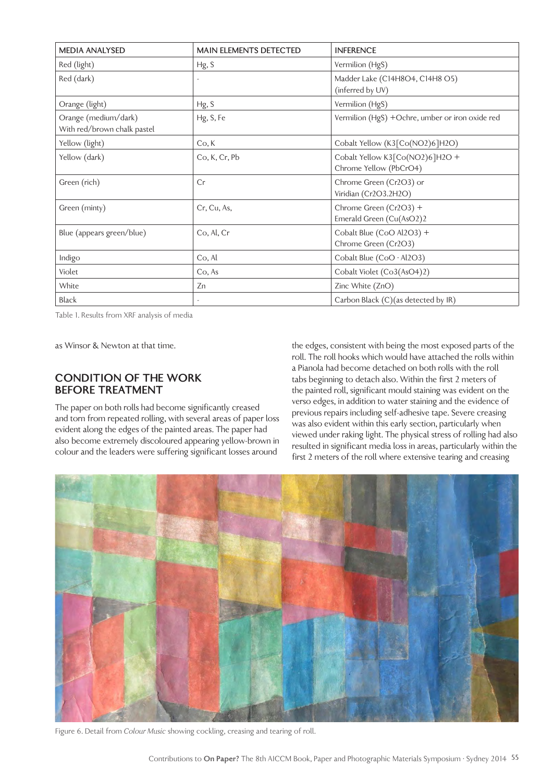| <b>MEDIA ANALYSED</b>                               | <b>MAIN ELEMENTS DETECTED</b>                       | <b>INFERENCE</b>                                          |  |  |
|-----------------------------------------------------|-----------------------------------------------------|-----------------------------------------------------------|--|--|
| Red (light)                                         | Hg, S                                               | Vermilion (HgS)                                           |  |  |
| Red (dark)                                          | Madder Lake (C14H8O4, C14H8 O5)<br>(inferred by UV) |                                                           |  |  |
| Orange (light)                                      | Hg, S                                               | Vermilion (HgS)                                           |  |  |
| Orange (medium/dark)<br>With red/brown chalk pastel | Hg, S, Fe                                           | Vermilion (HgS) +Ochre, umber or iron oxide red           |  |  |
| Yellow (light)                                      | Co, K                                               | Cobalt Yellow (K3[Co(NO2)6]H2O)                           |  |  |
| Yellow (dark)                                       | Co, K, Cr, Pb                                       | Cobalt Yellow K3[Co(NO2)6]H2O +<br>Chrome Yellow (PbCrO4) |  |  |
| Green (rich)                                        | Cr                                                  | Chrome Green (Cr2O3) or<br>Viridian (Cr2O3.2H2O)          |  |  |
| Green (minty)                                       | Cr, Cu, As,                                         | Chrome Green (Cr2O3) +<br>Emerald Green (Cu(AsO2)2        |  |  |
| Blue (appears green/blue)                           | Co, Al, Cr                                          | Cobalt Blue (CoO Al2O3) +<br>Chrome Green (Cr2O3)         |  |  |
| Indigo                                              | Co, Al                                              | Cobalt Blue (CoO · Al2O3)                                 |  |  |
| Violet                                              | Co, As                                              | Cobalt Violet (Co3(AsO4)2)                                |  |  |
| White                                               | Zn                                                  | Zinc White (ZnO)                                          |  |  |
| <b>Black</b>                                        |                                                     | Carbon Black (C)(as detected by IR)                       |  |  |

Table 1. Results from XRF analysis of media

as Winsor & Newton at that time.

### **CONDITION OF THE WORK BEFORE TREATMENT**

The paper on both rolls had become significantly creased and torn from repeated rolling, with several areas of paper loss evident along the edges of the painted areas. The paper had also become extremely discoloured appearing yellow-brown in colour and the leaders were suffering significant losses around

the edges, consistent with being the most exposed parts of the roll. The roll hooks which would have attached the rolls within a Pianola had become detached on both rolls with the roll tabs beginning to detach also. Within the first 2 meters of the painted roll, significant mould staining was evident on the verso edges, in addition to water staining and the evidence of previous repairs including self-adhesive tape. Severe creasing was also evident within this early section, particularly when viewed under raking light. The physical stress of rolling had also resulted in significant media loss in areas, particularly within the first 2 meters of the roll where extensive tearing and creasing



Figure 6. Detail from *Colour Music* showing cockling, creasing and tearing of roll.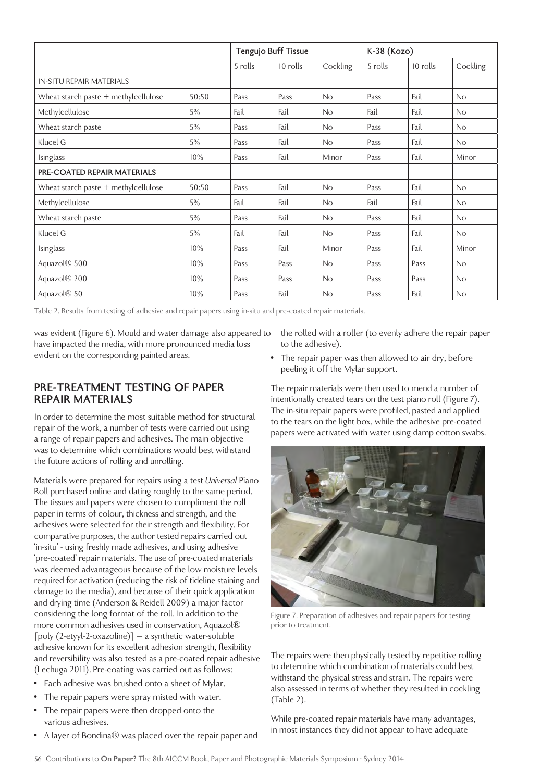|                                        |       | Tengujo Buff Tissue |          |          | K-38 (Kozo) |          |          |
|----------------------------------------|-------|---------------------|----------|----------|-------------|----------|----------|
|                                        |       | 5 rolls             | 10 rolls | Cockling | 5 rolls     | 10 rolls | Cockling |
| <b>IN-SITU REPAIR MATERIALS</b>        |       |                     |          |          |             |          |          |
| Wheat starch paste + methylcellulose   | 50:50 | Pass                | Pass     | No       | Pass        | Fail     | No       |
| Methylcellulose                        | 5%    | Fail                | Fail     | No       | Fail        | Fail     | No       |
| Wheat starch paste                     | 5%    | Pass                | Fail     | No       | Pass        | Fail     | No       |
| Klucel G                               | 5%    | Pass                | Fail     | No       | Pass        | Fail     | No       |
| Isinglass                              | 10%   | Pass                | Fail     | Minor    | Pass        | Fail     | Minor    |
| <b>PRE-COATED REPAIR MATERIALS</b>     |       |                     |          |          |             |          |          |
| Wheat starch paste $+$ methylcellulose | 50:50 | Pass                | Fail     | No       | Pass        | Fail     | No       |
| Methylcellulose                        | 5%    | Fail                | Fail     | No       | Fail        | Fail     | No       |
| Wheat starch paste                     | 5%    | Pass                | Fail     | No       | Pass        | Fail     | No       |
| Klucel G                               | 5%    | Fail                | Fail     | No       | Pass        | Fail     | No       |
| Isinglass                              | 10%   | Pass                | Fail     | Minor    | Pass        | Fail     | Minor    |
| Aquazol <sup>®</sup> 500               | 10%   | Pass                | Pass     | No       | Pass        | Pass     | No       |
| Aquazol <sup>®</sup> 200               | 10%   | Pass                | Pass     | No       | Pass        | Pass     | No       |
| Aquazol <sup>®</sup> 50                | 10%   | Pass                | Fail     | No       | Pass        | Fail     | No       |

Table 2. Results from testing of adhesive and repair papers using in-situ and pre-coated repair materials.

was evident (Figure 6). Mould and water damage also appeared to have impacted the media, with more pronounced media loss evident on the corresponding painted areas.

### **PRE-TREATMENT TESTING OF PAPER REPAIR MATERIALS**

In order to determine the most suitable method for structural repair of the work, a number of tests were carried out using a range of repair papers and adhesives. The main objective was to determine which combinations would best withstand the future actions of rolling and unrolling.

Materials were prepared for repairs using a test *Universal* Piano Roll purchased online and dating roughly to the same period. The tissues and papers were chosen to compliment the roll paper in terms of colour, thickness and strength, and the adhesives were selected for their strength and flexibility. For comparative purposes, the author tested repairs carried out 'in-situ' - using freshly made adhesives, and using adhesive 'pre-coated' repair materials. The use of pre-coated materials was deemed advantageous because of the low moisture levels required for activation (reducing the risk of tideline staining and damage to the media), and because of their quick application and drying time (Anderson & Reidell 2009) a major factor considering the long format of the roll. In addition to the more common adhesives used in conservation, Aquazol® [poly (2-etyyl-2-oxazoline)] – a synthetic water-soluble adhesive known for its excellent adhesion strength, flexibility and reversibility was also tested as a pre-coated repair adhesive (Lechuga 2011). Pre-coating was carried out as follows:

- Each adhesive was brushed onto a sheet of Mylar.
- The repair papers were spray misted with water.
- The repair papers were then dropped onto the various adhesives.
- A layer of Bondina® was placed over the repair paper and

the rolled with a roller (to evenly adhere the repair paper to the adhesive).

• The repair paper was then allowed to air dry, before peeling it off the Mylar support.

The repair materials were then used to mend a number of intentionally created tears on the test piano roll (Figure 7). The in-situ repair papers were profiled, pasted and applied to the tears on the light box, while the adhesive pre-coated papers were activated with water using damp cotton swabs.



Figure 7. Preparation of adhesives and repair papers for testing prior to treatment.

The repairs were then physically tested by repetitive rolling to determine which combination of materials could best withstand the physical stress and strain. The repairs were also assessed in terms of whether they resulted in cockling (Table 2).

While pre-coated repair materials have many advantages, in most instances they did not appear to have adequate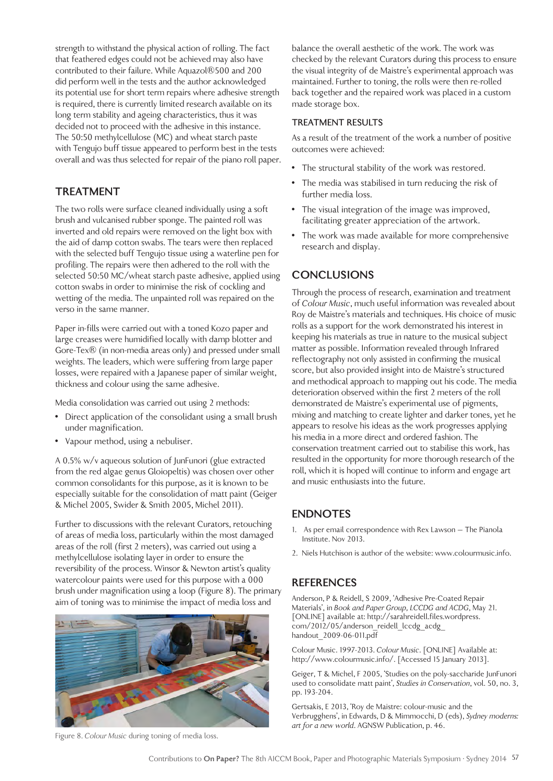strength to withstand the physical action of rolling. The fact that feathered edges could not be achieved may also have contributed to their failure. While Aquazol®500 and 200 did perform well in the tests and the author acknowledged its potential use for short term repairs where adhesive strength is required, there is currently limited research available on its long term stability and ageing characteristics, thus it was decided not to proceed with the adhesive in this instance. The 50:50 methylcellulose (MC) and wheat starch paste with Tengujo buff tissue appeared to perform best in the tests overall and was thus selected for repair of the piano roll paper.

### **TREATMENT**

The two rolls were surface cleaned individually using a soft brush and vulcanised rubber sponge. The painted roll was inverted and old repairs were removed on the light box with the aid of damp cotton swabs. The tears were then replaced with the selected buff Tengujo tissue using a waterline pen for profiling. The repairs were then adhered to the roll with the selected 50:50 MC/wheat starch paste adhesive, applied using cotton swabs in order to minimise the risk of cockling and wetting of the media. The unpainted roll was repaired on the verso in the same manner.

Paper in-fills were carried out with a toned Kozo paper and large creases were humidified locally with damp blotter and Gore-Tex® (in non-media areas only) and pressed under small weights. The leaders, which were suffering from large paper losses, were repaired with a Japanese paper of similar weight, thickness and colour using the same adhesive.

Media consolidation was carried out using 2 methods:

- Direct application of the consolidant using a small brush under magnification.
- Vapour method, using a nebuliser.

A 0.5% w/v aqueous solution of JunFunori (glue extracted from the red algae genus Gloiopeltis) was chosen over other common consolidants for this purpose, as it is known to be especially suitable for the consolidation of matt paint (Geiger & Michel 2005, Swider & Smith 2005, Michel 2011).

Further to discussions with the relevant Curators, retouching of areas of media loss, particularly within the most damaged areas of the roll (first 2 meters), was carried out using a methylcellulose isolating layer in order to ensure the reversibility of the process. Winsor & Newton artist's quality watercolour paints were used for this purpose with a 000 brush under magnification using a loop (Figure 8). The primary aim of toning was to minimise the impact of media loss and



Figure 8. *Colour Music* during toning of media loss.

balance the overall aesthetic of the work. The work was checked by the relevant Curators during this process to ensure the visual integrity of de Maistre's experimental approach was maintained. Further to toning, the rolls were then re-rolled back together and the repaired work was placed in a custom made storage box.

#### **TREATMENT RESULTS**

As a result of the treatment of the work a number of positive outcomes were achieved:

- The structural stability of the work was restored.
- The media was stabilised in turn reducing the risk of further media loss.
- The visual integration of the image was improved, facilitating greater appreciation of the artwork.
- The work was made available for more comprehensive research and display.

## **CONCLUSIONS**

Through the process of research, examination and treatment of *Colour Music*, much useful information was revealed about Roy de Maistre's materials and techniques. His choice of music rolls as a support for the work demonstrated his interest in keeping his materials as true in nature to the musical subject matter as possible. Information revealed through Infrared reflectography not only assisted in confirming the musical score, but also provided insight into de Maistre's structured and methodical approach to mapping out his code. The media deterioration observed within the first 2 meters of the roll demonstrated de Maistre's experimental use of pigments, mixing and matching to create lighter and darker tones, yet he appears to resolve his ideas as the work progresses applying his media in a more direct and ordered fashion. The conservation treatment carried out to stabilise this work, has resulted in the opportunity for more thorough research of the roll, which it is hoped will continue to inform and engage art and music enthusiasts into the future.

## **ENDNOTES**

- 1. As per email correspondence with Rex Lawson The Pianola Institute. Nov 2013.
- 2. Niels Hutchison is author of the website: www.colourmusic.info.

## **REFERENCES**

Anderson, P & Reidell, S 2009, 'Adhesive Pre-Coated Repair Materials', in *Book and Paper Group, LCCDG and ACDG*, May 21. [ONLINE] available at: http://sarahreidell.files.wordpress. com/2012/05/anderson\_reidell\_lccdg\_acdg handout\_2009-06-011.pdf

Colour Music. 1997-2013. *Colour Music*. [ONLINE] Available at: http://www.colourmusic.info/. [Accessed 15 January 2013].

Geiger, T & Michel, F 2005, 'Studies on the poly-saccharide JunFunori used to consolidate matt paint', *Studies in Conservation*, vol. 50, no. 3, pp. 193-204.

Gertsakis, E 2013, 'Roy de Maistre: colour-music and the Verbrugghens', in Edwards, D & Mimmocchi, D (eds), *Sydney moderns: art for a new world*. AGNSW Publication, p. 46.